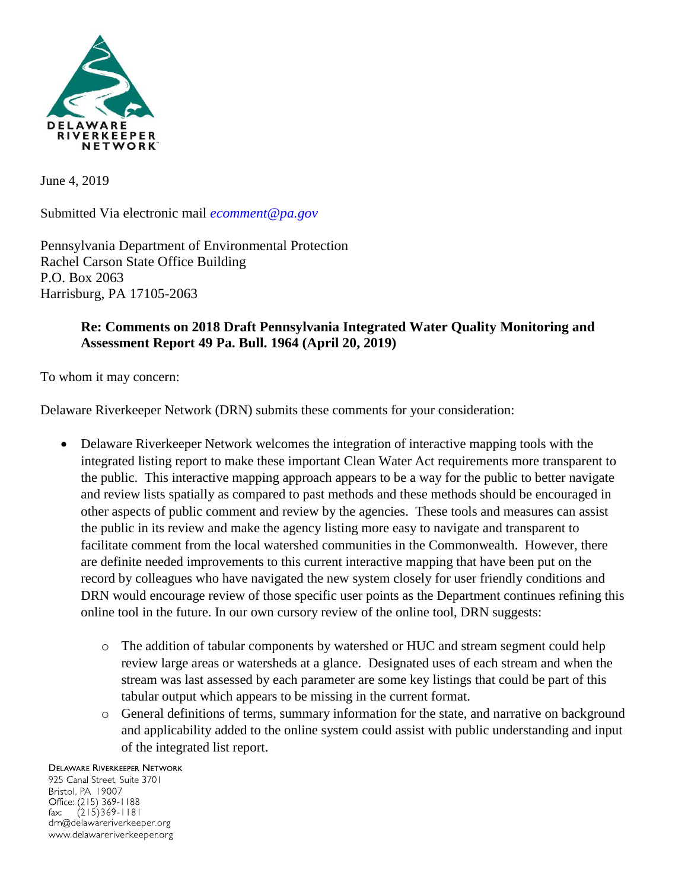

June 4, 2019

Submitted Via electronic mail *ecomment@pa.gov* 

Pennsylvania Department of Environmental Protection Rachel Carson State Office Building P.O. Box 2063 Harrisburg, PA 17105-2063

## **Re: Comments on 2018 Draft Pennsylvania Integrated Water Quality Monitoring and Assessment Report 49 Pa. Bull. 1964 (April 20, 2019)**

To whom it may concern:

Delaware Riverkeeper Network (DRN) submits these comments for your consideration:

- Delaware Riverkeeper Network welcomes the integration of interactive mapping tools with the integrated listing report to make these important Clean Water Act requirements more transparent to the public. This interactive mapping approach appears to be a way for the public to better navigate and review lists spatially as compared to past methods and these methods should be encouraged in other aspects of public comment and review by the agencies. These tools and measures can assist the public in its review and make the agency listing more easy to navigate and transparent to facilitate comment from the local watershed communities in the Commonwealth. However, there are definite needed improvements to this current interactive mapping that have been put on the record by colleagues who have navigated the new system closely for user friendly conditions and DRN would encourage review of those specific user points as the Department continues refining this online tool in the future. In our own cursory review of the online tool, DRN suggests:
	- o The addition of tabular components by watershed or HUC and stream segment could help review large areas or watersheds at a glance. Designated uses of each stream and when the stream was last assessed by each parameter are some key listings that could be part of this tabular output which appears to be missing in the current format.
	- o General definitions of terms, summary information for the state, and narrative on background and applicability added to the online system could assist with public understanding and input of the integrated list report.

## **DELAWARE RIVERKEEPER NETWORK**

925 Canal Street, Suite 3701 Bristol, PA 19007 Office: (215) 369-1188  $(215)369 - 1181$  $\mathsf{fax:}$ drn@delawareriverkeeper.org www.delawareriverkeeper.org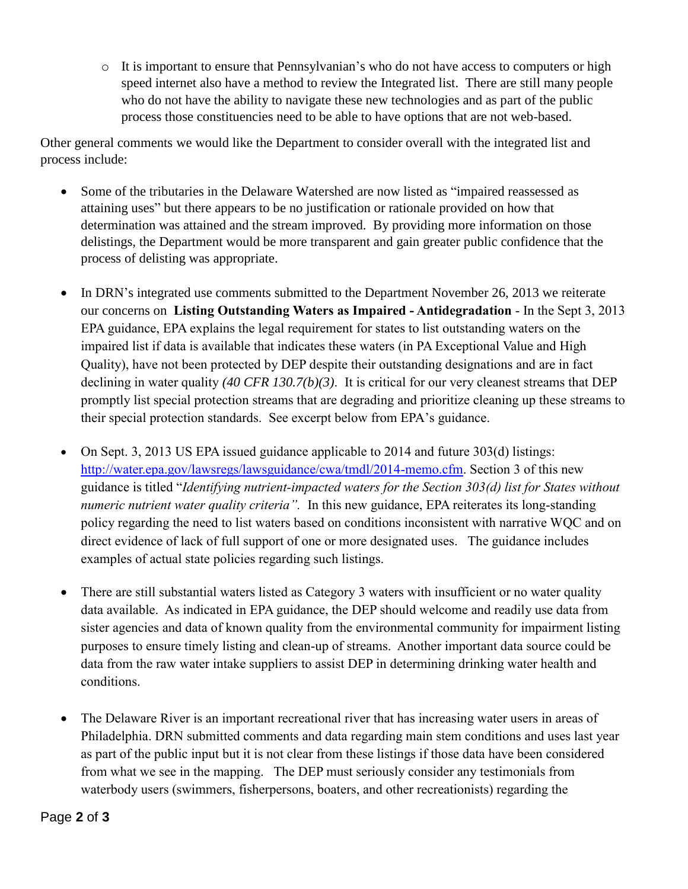o It is important to ensure that Pennsylvanian's who do not have access to computers or high speed internet also have a method to review the Integrated list. There are still many people who do not have the ability to navigate these new technologies and as part of the public process those constituencies need to be able to have options that are not web-based.

Other general comments we would like the Department to consider overall with the integrated list and process include:

- Some of the tributaries in the Delaware Watershed are now listed as "impaired reassessed as attaining uses" but there appears to be no justification or rationale provided on how that determination was attained and the stream improved. By providing more information on those delistings, the Department would be more transparent and gain greater public confidence that the process of delisting was appropriate.
- In DRN's integrated use comments submitted to the Department November 26, 2013 we reiterate our concerns on **Listing Outstanding Waters as Impaired - Antidegradation** - In the Sept 3, 2013 EPA guidance, EPA explains the legal requirement for states to list outstanding waters on the impaired list if data is available that indicates these waters (in PA Exceptional Value and High Quality), have not been protected by DEP despite their outstanding designations and are in fact declining in water quality *(40 CFR 130.7(b)(3)*. It is critical for our very cleanest streams that DEP promptly list special protection streams that are degrading and prioritize cleaning up these streams to their special protection standards. See excerpt below from EPA's guidance.
- On Sept. 3, 2013 US EPA issued guidance applicable to 2014 and future 303(d) listings: [http://water.epa.gov/lawsregs/lawsguidance/cwa/tmdl/2014-memo.cfm.](http://water.epa.gov/lawsregs/lawsguidance/cwa/tmdl/2014-memo.cfm) Section 3 of this new guidance is titled "*Identifying nutrient-impacted waters for the Section 303(d) list for States without numeric nutrient water quality criteria".* In this new guidance, EPA reiterates its long-standing policy regarding the need to list waters based on conditions inconsistent with narrative WQC and on direct evidence of lack of full support of one or more designated uses. The guidance includes examples of actual state policies regarding such listings.
- There are still substantial waters listed as Category 3 waters with insufficient or no water quality data available. As indicated in EPA guidance, the DEP should welcome and readily use data from sister agencies and data of known quality from the environmental community for impairment listing purposes to ensure timely listing and clean-up of streams. Another important data source could be data from the raw water intake suppliers to assist DEP in determining drinking water health and conditions.
- The Delaware River is an important recreational river that has increasing water users in areas of Philadelphia. DRN submitted comments and data regarding main stem conditions and uses last year as part of the public input but it is not clear from these listings if those data have been considered from what we see in the mapping. The DEP must seriously consider any testimonials from waterbody users (swimmers, fisherpersons, boaters, and other recreationists) regarding the